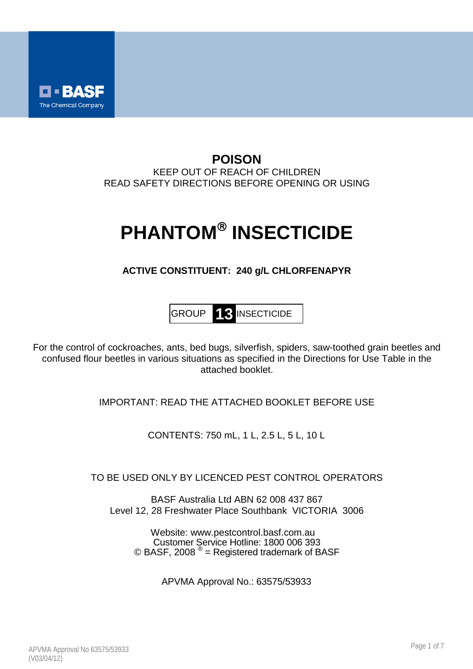

# **POISON** KEEP OUT OF REACH OF CHILDREN READ SAFETY DIRECTIONS BEFORE OPENING OR USING

# **PHANTOM® INSECTICIDE**

# **ACTIVE CONSTITUENT: 240 g/L CHLORFENAPYR**



For the control of cockroaches, ants, bed bugs, silverfish, spiders, saw-toothed grain beetles and confused flour beetles in various situations as specified in the Directions for Use Table in the attached booklet.

IMPORTANT: READ THE ATTACHED BOOKLET BEFORE USE

CONTENTS: 750 mL, 1 L, 2.5 L, 5 L, 10 L

TO BE USED ONLY BY LICENCED PEST CONTROL OPERATORS

BASF Australia Ltd ABN 62 008 437 867 Level 12, 28 Freshwater Place Southbank VICTORIA 3006

Website: www.pestcontrol.basf.com.au Customer Service Hotline: 1800 006 393 © BASF, 2008  $^{\circledR}$  = Registered trademark of BASF

APVMA Approval No.: 63575/53933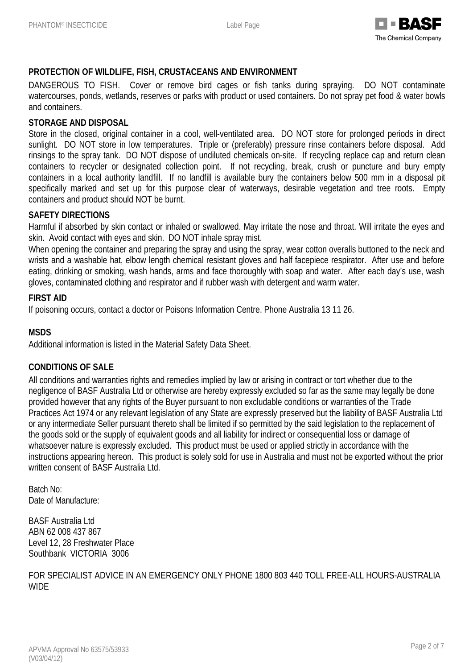

# **PROTECTION OF WILDLIFE, FISH, CRUSTACEANS AND ENVIRONMENT**

DANGEROUS TO FISH. Cover or remove bird cages or fish tanks during spraying. DO NOT contaminate watercourses, ponds, wetlands, reserves or parks with product or used containers. Do not spray pet food & water bowls and containers.

### **STORAGE AND DISPOSAL**

Store in the closed, original container in a cool, well-ventilated area. DO NOT store for prolonged periods in direct sunlight. DO NOT store in low temperatures. Triple or (preferably) pressure rinse containers before disposal. Add rinsings to the spray tank. DO NOT dispose of undiluted chemicals on-site. If recycling replace cap and return clean containers to recycler or designated collection point. If not recycling, break, crush or puncture and bury empty containers in a local authority landfill. If no landfill is available bury the containers below 500 mm in a disposal pit specifically marked and set up for this purpose clear of waterways, desirable vegetation and tree roots. Empty containers and product should NOT be burnt.

#### **SAFETY DIRECTIONS**

Harmful if absorbed by skin contact or inhaled or swallowed. May irritate the nose and throat. Will irritate the eyes and skin. Avoid contact with eyes and skin. DO NOT inhale spray mist.

When opening the container and preparing the spray and using the spray, wear cotton overalls buttoned to the neck and wrists and a washable hat, elbow length chemical resistant gloves and half facepiece respirator. After use and before eating, drinking or smoking, wash hands, arms and face thoroughly with soap and water. After each day's use, wash gloves, contaminated clothing and respirator and if rubber wash with detergent and warm water.

#### **FIRST AID**

If poisoning occurs, contact a doctor or Poisons Information Centre. Phone Australia 13 11 26.

# **MSDS**

Additional information is listed in the Material Safety Data Sheet.

# **CONDITIONS OF SALE**

All conditions and warranties rights and remedies implied by law or arising in contract or tort whether due to the negligence of BASF Australia Ltd or otherwise are hereby expressly excluded so far as the same may legally be done provided however that any rights of the Buyer pursuant to non excludable conditions or warranties of the Trade Practices Act 1974 or any relevant legislation of any State are expressly preserved but the liability of BASF Australia Ltd or any intermediate Seller pursuant thereto shall be limited if so permitted by the said legislation to the replacement of the goods sold or the supply of equivalent goods and all liability for indirect or consequential loss or damage of whatsoever nature is expressly excluded. This product must be used or applied strictly in accordance with the instructions appearing hereon. This product is solely sold for use in Australia and must not be exported without the prior written consent of BASF Australia Ltd.

Batch No: Date of Manufacture:

BASF Australia Ltd ABN 62 008 437 867 Level 12, 28 Freshwater Place Southbank VICTORIA 3006

FOR SPECIALIST ADVICE IN AN EMERGENCY ONLY PHONE 1800 803 440 TOLL FREE-ALL HOURS-AUSTRALIA **WIDE**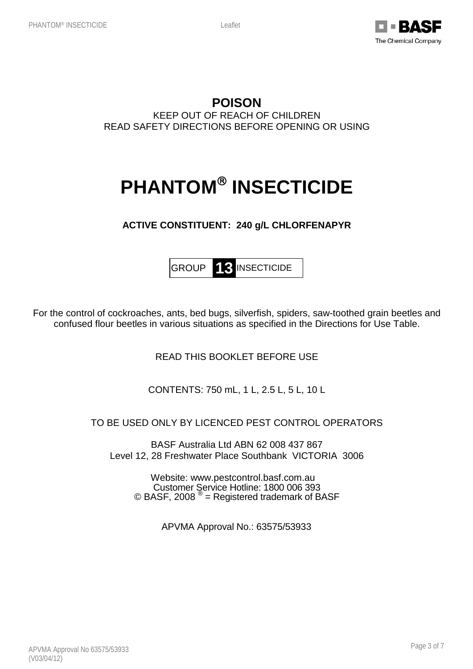

# **POISON** KEEP OUT OF REACH OF CHILDREN READ SAFETY DIRECTIONS BEFORE OPENING OR USING

# **PHANTOM® INSECTICIDE**

# **ACTIVE CONSTITUENT: 240 g/L CHLORFENAPYR**

GROUP **13** INSECTICIDE

For the control of cockroaches, ants, bed bugs, silverfish, spiders, saw-toothed grain beetles and confused flour beetles in various situations as specified in the Directions for Use Table.

READ THIS BOOKLET BEFORE USE

CONTENTS: 750 mL, 1 L, 2.5 L, 5 L, 10 L

# TO BE USED ONLY BY LICENCED PEST CONTROL OPERATORS

BASF Australia Ltd ABN 62 008 437 867 Level 12, 28 Freshwater Place Southbank VICTORIA 3006

Website: www.pestcontrol.basf.com.au Customer Service Hotline: 1800 006 393 © BASF, 2008  $^{\circledR}$  = Registered trademark of BASF

APVMA Approval No.: 63575/53933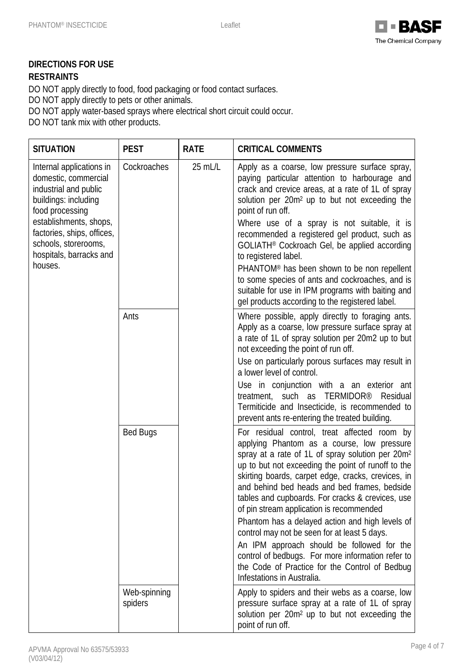

# **DIRECTIONS FOR USE**

# **RESTRAINTS**

DO NOT apply directly to food, food packaging or food contact surfaces.

DO NOT apply directly to pets or other animals.

DO NOT apply water-based sprays where electrical short circuit could occur.

DO NOT tank mix with other products.

| <b>SITUATION</b>                                                                                                                                                                                                                           | <b>PEST</b>             | <b>RATE</b> | <b>CRITICAL COMMENTS</b>                                                                                                                                                                                                                                                                                                                                                                                                                                                                                                                                                                                                                                                                                     |
|--------------------------------------------------------------------------------------------------------------------------------------------------------------------------------------------------------------------------------------------|-------------------------|-------------|--------------------------------------------------------------------------------------------------------------------------------------------------------------------------------------------------------------------------------------------------------------------------------------------------------------------------------------------------------------------------------------------------------------------------------------------------------------------------------------------------------------------------------------------------------------------------------------------------------------------------------------------------------------------------------------------------------------|
| Internal applications in<br>domestic, commercial<br>industrial and public<br>buildings: including<br>food processing<br>establishments, shops,<br>factories, ships, offices,<br>schools, storerooms,<br>hospitals, barracks and<br>houses. | Cockroaches             | 25 mL/L     | Apply as a coarse, low pressure surface spray,<br>paying particular attention to harbourage and<br>crack and crevice areas, at a rate of 1L of spray<br>solution per 20m <sup>2</sup> up to but not exceeding the<br>point of run off.<br>Where use of a spray is not suitable, it is<br>recommended a registered gel product, such as<br>GOLIATH <sup>®</sup> Cockroach Gel, be applied according<br>to registered label.<br>PHANTOM <sup>®</sup> has been shown to be non repellent<br>to some species of ants and cockroaches, and is<br>suitable for use in IPM programs with baiting and<br>gel products according to the registered label.                                                             |
|                                                                                                                                                                                                                                            | Ants                    |             | Where possible, apply directly to foraging ants.<br>Apply as a coarse, low pressure surface spray at<br>a rate of 1L of spray solution per 20m2 up to but<br>not exceeding the point of run off.<br>Use on particularly porous surfaces may result in<br>a lower level of control.<br>Use in conjunction with a an exterior ant<br>treatment, such as TERMIDOR®<br>Residual<br>Termiticide and Insecticide, is recommended to<br>prevent ants re-entering the treated building.                                                                                                                                                                                                                              |
|                                                                                                                                                                                                                                            | <b>Bed Bugs</b>         |             | For residual control, treat affected room by<br>applying Phantom as a course, low pressure<br>spray at a rate of 1L of spray solution per 20m <sup>2</sup><br>up to but not exceeding the point of runoff to the<br>skirting boards, carpet edge, cracks, crevices, in<br>and behind bed heads and bed frames, bedside<br>tables and cupboards. For cracks & crevices, use<br>of pin stream application is recommended<br>Phantom has a delayed action and high levels of<br>control may not be seen for at least 5 days.<br>An IPM approach should be followed for the<br>control of bedbugs. For more information refer to<br>the Code of Practice for the Control of Bedbug<br>Infestations in Australia. |
|                                                                                                                                                                                                                                            | Web-spinning<br>spiders |             | Apply to spiders and their webs as a coarse, low<br>pressure surface spray at a rate of 1L of spray<br>solution per 20m <sup>2</sup> up to but not exceeding the<br>point of run off.                                                                                                                                                                                                                                                                                                                                                                                                                                                                                                                        |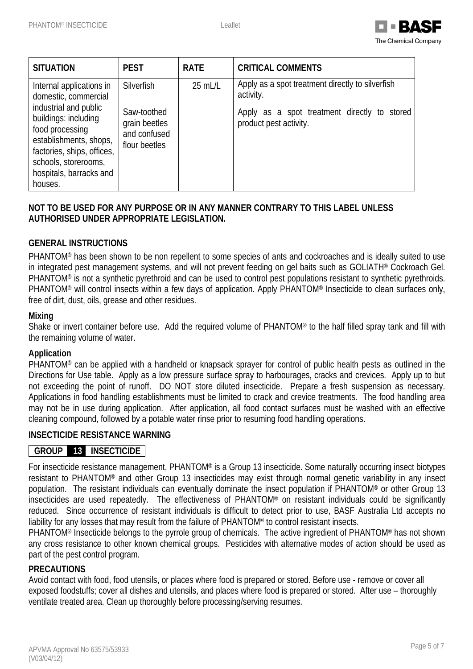

| <b>SITUATION</b>                                                                                                                                                                       | <b>PEST</b>                                                   | <b>RATE</b> | <b>CRITICAL COMMENTS</b>                                               |
|----------------------------------------------------------------------------------------------------------------------------------------------------------------------------------------|---------------------------------------------------------------|-------------|------------------------------------------------------------------------|
| Internal applications in<br>domestic, commercial                                                                                                                                       | Silverfish                                                    | 25 mL/L     | Apply as a spot treatment directly to silverfish<br>activity.          |
| industrial and public<br>buildings: including<br>food processing<br>establishments, shops,<br>factories, ships, offices,<br>schools, storerooms,<br>hospitals, barracks and<br>houses. | Saw-toothed<br>grain beetles<br>and confused<br>flour beetles |             | Apply as a spot treatment directly to stored<br>product pest activity. |

# **NOT TO BE USED FOR ANY PURPOSE OR IN ANY MANNER CONTRARY TO THIS LABEL UNLESS AUTHORISED UNDER APPROPRIATE LEGISLATION.**

# **GENERAL INSTRUCTIONS**

PHANTOM® has been shown to be non repellent to some species of ants and cockroaches and is ideally suited to use in integrated pest management systems, and will not prevent feeding on gel baits such as GOLIATH® Cockroach Gel. PHANTOM® is not a synthetic pyrethroid and can be used to control pest populations resistant to synthetic pyrethroids. PHANTOM® will control insects within a few days of application. Apply PHANTOM® Insecticide to clean surfaces only, free of dirt, dust, oils, grease and other residues.

#### **Mixing**

Shake or invert container before use. Add the required volume of PHANTOM® to the half filled spray tank and fill with the remaining volume of water.

# **Application**

PHANTOM® can be applied with a handheld or knapsack sprayer for control of public health pests as outlined in the Directions for Use table. Apply as a low pressure surface spray to harbourages, cracks and crevices. Apply up to but not exceeding the point of runoff. DO NOT store diluted insecticide. Prepare a fresh suspension as necessary. Applications in food handling establishments must be limited to crack and crevice treatments. The food handling area may not be in use during application. After application, all food contact surfaces must be washed with an effective cleaning compound, followed by a potable water rinse prior to resuming food handling operations.

# **INSECTICIDE RESISTANCE WARNING**

# **GROUP 13 INSECTICIDE**

For insecticide resistance management, PHANTOM® is a Group 13 insecticide. Some naturally occurring insect biotypes resistant to PHANTOM® and other Group 13 insecticides may exist through normal genetic variability in any insect population. The resistant individuals can eventually dominate the insect population if PHANTOM® or other Group 13 insecticides are used repeatedly. The effectiveness of PHANTOM® on resistant individuals could be significantly reduced. Since occurrence of resistant individuals is difficult to detect prior to use, BASF Australia Ltd accepts no liability for any losses that may result from the failure of PHANTOM® to control resistant insects.

PHANTOM® Insecticide belongs to the pyrrole group of chemicals. The active ingredient of PHANTOM® has not shown any cross resistance to other known chemical groups. Pesticides with alternative modes of action should be used as part of the pest control program.

# **PRECAUTIONS**

Avoid contact with food, food utensils, or places where food is prepared or stored. Before use - remove or cover all exposed foodstuffs; cover all dishes and utensils, and places where food is prepared or stored. After use – thoroughly ventilate treated area. Clean up thoroughly before processing/serving resumes.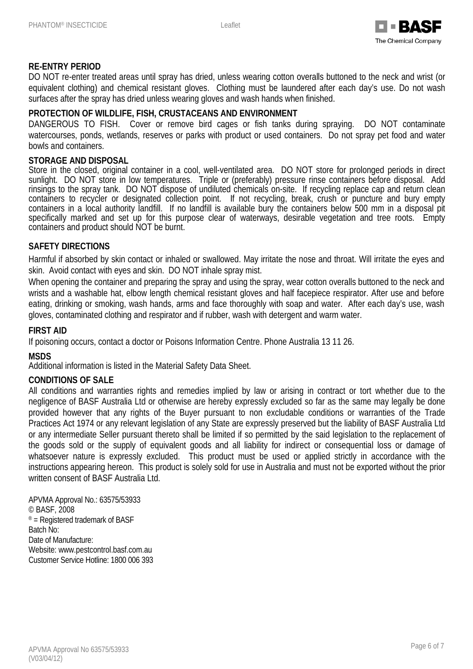

# **RE-ENTRY PERIOD**

DO NOT re-enter treated areas until spray has dried, unless wearing cotton overalls buttoned to the neck and wrist (or equivalent clothing) and chemical resistant gloves. Clothing must be laundered after each day's use. Do not wash surfaces after the spray has dried unless wearing gloves and wash hands when finished.

# **PROTECTION OF WILDLIFE, FISH, CRUSTACEANS AND ENVIRONMENT**

DANGEROUS TO FISH. Cover or remove bird cages or fish tanks during spraying. DO NOT contaminate watercourses, ponds, wetlands, reserves or parks with product or used containers. Do not spray pet food and water bowls and containers.

#### **STORAGE AND DISPOSAL**

Store in the closed, original container in a cool, well-ventilated area. DO NOT store for prolonged periods in direct sunlight. DO NOT store in low temperatures. Triple or (preferably) pressure rinse containers before disposal. Add rinsings to the spray tank. DO NOT dispose of undiluted chemicals on-site. If recycling replace cap and return clean containers to recycler or designated collection point. If not recycling, break, crush or puncture and bury empty containers in a local authority landfill. If no landfill is available bury the containers below 500 mm in a disposal pit specifically marked and set up for this purpose clear of waterways, desirable vegetation and tree roots. Empty containers and product should NOT be burnt.

#### **SAFETY DIRECTIONS**

Harmful if absorbed by skin contact or inhaled or swallowed. May irritate the nose and throat. Will irritate the eyes and skin. Avoid contact with eyes and skin. DO NOT inhale spray mist.

When opening the container and preparing the spray and using the spray, wear cotton overalls buttoned to the neck and wrists and a washable hat, elbow length chemical resistant gloves and half facepiece respirator. After use and before eating, drinking or smoking, wash hands, arms and face thoroughly with soap and water. After each day's use, wash gloves, contaminated clothing and respirator and if rubber, wash with detergent and warm water.

#### **FIRST AID**

If poisoning occurs, contact a doctor or Poisons Information Centre. Phone Australia 13 11 26.

#### **MSDS**

Additional information is listed in the Material Safety Data Sheet.

#### **CONDITIONS OF SALE**

All conditions and warranties rights and remedies implied by law or arising in contract or tort whether due to the negligence of BASF Australia Ltd or otherwise are hereby expressly excluded so far as the same may legally be done provided however that any rights of the Buyer pursuant to non excludable conditions or warranties of the Trade Practices Act 1974 or any relevant legislation of any State are expressly preserved but the liability of BASF Australia Ltd or any intermediate Seller pursuant thereto shall be limited if so permitted by the said legislation to the replacement of the goods sold or the supply of equivalent goods and all liability for indirect or consequential loss or damage of whatsoever nature is expressly excluded. This product must be used or applied strictly in accordance with the instructions appearing hereon. This product is solely sold for use in Australia and must not be exported without the prior written consent of BASF Australia Ltd.

APVMA Approval No.: 63575/53933 © BASF, 2008 ® = Registered trademark of BASF Batch No: Date of Manufacture: Website: www.pestcontrol.basf.com.au Customer Service Hotline: 1800 006 393